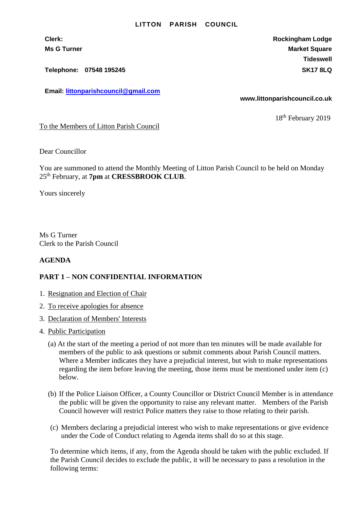## **LITTON PARISH COUNCIL**

**Telephone: 07548 195245 SK17 8LQ**

**Email: [littonparishcouncil@gmail.com](mailto:littonparishcouncil@gmail.com)**

**Clerk: Rockingham Lodge Ms G Turner Market Square** Market Square Market Square **Tideswell**

**www.littonparishcouncil.co.uk**

18<sup>th</sup> February 2019

To the Members of Litton Parish Council

Dear Councillor

You are summoned to attend the Monthly Meeting of Litton Parish Council to be held on Monday 25th February, at **7pm** at **CRESSBROOK CLUB**.

Yours sincerely

Ms G Turner Clerk to the Parish Council

## **AGENDA**

## **PART 1 – NON CONFIDENTIAL INFORMATION**

- 1. Resignation and Election of Chair
- 2. To receive apologies for absence
- 3. Declaration of Members' Interests
- 4. Public Participation
	- (a) At the start of the meeting a period of not more than ten minutes will be made available for members of the public to ask questions or submit comments about Parish Council matters. Where a Member indicates they have a prejudicial interest, but wish to make representations regarding the item before leaving the meeting, those items must be mentioned under item (c) below.
	- (b) If the Police Liaison Officer, a County Councillor or District Council Member is in attendance the public will be given the opportunity to raise any relevant matter. Members of the Parish Council however will restrict Police matters they raise to those relating to their parish.
	- (c) Members declaring a prejudicial interest who wish to make representations or give evidence under the Code of Conduct relating to Agenda items shall do so at this stage.

To determine which items, if any, from the Agenda should be taken with the public excluded. If the Parish Council decides to exclude the public, it will be necessary to pass a resolution in the following terms: